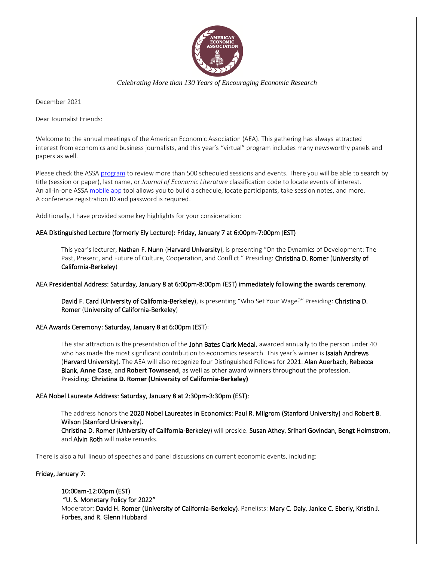

*Celebrating More than 130 Years of Encouraging Economic Research*

December 2021

Dear Journalist Friends:

Welcome to the annual meetings of the American Economic Association (AEA). This gathering has always attracted interest from economics and business journalists, and this year's "virtual" program includes many newsworthy panels and papers as well.

Please check the ASSA [program](https://www.aeaweb.org/conference/2022/preliminary) to review more than 500 scheduled sessions and events. There you will be able to search by title (session or paper), last name, or *Journal of Economic Literature* classification code to locate events of interest. An all-in-one ASS[A mobile app](https://www.aeaweb.org/conference/mobile-app) tool allows you to build a schedule, locate participants, take session notes, and more. A conference registration ID and password is required.

Additionally, I have provided some key highlights for your consideration:

# AEA Distinguished Lecture (formerly Ely Lecture): Friday, January 7 at 6:00pm-7:00pm (EST)

This year's lecturer, Nathan F. Nunn (Harvard University), is presenting "On the Dynamics of Development: The Past, Present, and Future of Culture, Cooperation, and Conflict." Presiding: Christina D. Romer (University of California-Berkeley)

## AEA Presidential Address: Saturday, January 8 at 6:00pm-8:00pm (EST) immediately following the awards ceremony*.*

David F. Card (University of California-Berkeley), is presenting "Who Set Your Wage?" Presiding: Christina D. Romer (University of California-Berkeley)

AEA Awards Ceremony: Saturday, January 8 at 6:00pm (EST):

and Alvin Roth will make remarks.

The star attraction is the presentation of the John Bates Clark Medal, awarded annually to the person under 40 who has made the most significant contribution to economics research. This year's winner is **Isaiah Andrews** (Harvard University). The AEA will also recognize four Distinguished Fellows for 2021: Alan Auerbach, Rebecca Blank, **Anne Case**, and **Robert Townsend**, as well as other award winners throughout the profession. Presiding: **Christina D. Romer (University of California-Berkeley)**

## AEA Nobel Laureate Address: Saturday, January 8 at 2:30pm-3:30pm (EST):

The address honors the 2020 Nobel Laureates in Economics: Paul R. Milgrom (Stanford University) and Robert B. Wilson (Stanford University). Christina D. Romer (University of California-Berkeley) will preside. Susan Athey, Srihari Govindan, Bengt Holmstrom,

There is also a full lineup of speeches and panel discussions on current economic events, including:

## Friday, January 7:

10:00am-12:00pm (EST) "U. S. Monetary Policy for 2022" Moderator: David H. Romer (University of California-Berkeley). Panelists: Mary C. Daly, Janice C. Eberly, Kristin J. Forbes, and R. Glenn Hubbard